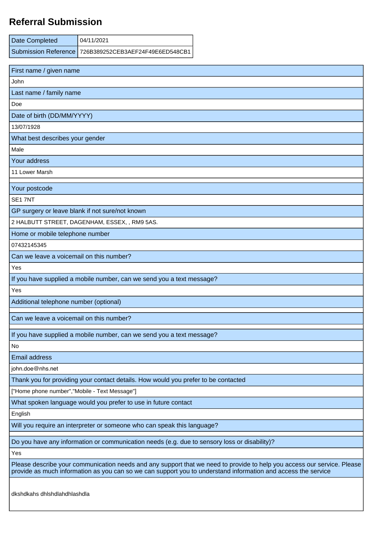## **Referral Submission**

| Date Completed | 04/11/2021                                            |
|----------------|-------------------------------------------------------|
|                | Submission Reference 726B389252CEB3AEF24F49E6ED548CB1 |

| First name / given name                                                                                                                                                                                                                  |  |
|------------------------------------------------------------------------------------------------------------------------------------------------------------------------------------------------------------------------------------------|--|
| John                                                                                                                                                                                                                                     |  |
| Last name / family name                                                                                                                                                                                                                  |  |
| Doe                                                                                                                                                                                                                                      |  |
| Date of birth (DD/MM/YYYY)                                                                                                                                                                                                               |  |
| 13/07/1928                                                                                                                                                                                                                               |  |
| What best describes your gender                                                                                                                                                                                                          |  |
| Male                                                                                                                                                                                                                                     |  |
| Your address                                                                                                                                                                                                                             |  |
| 11 Lower Marsh                                                                                                                                                                                                                           |  |
| Your postcode                                                                                                                                                                                                                            |  |
| SE17NT                                                                                                                                                                                                                                   |  |
| GP surgery or leave blank if not sure/not known                                                                                                                                                                                          |  |
| 2 HALBUTT STREET, DAGENHAM, ESSEX, , RM9 5AS.                                                                                                                                                                                            |  |
| Home or mobile telephone number                                                                                                                                                                                                          |  |
| 07432145345                                                                                                                                                                                                                              |  |
| Can we leave a voicemail on this number?                                                                                                                                                                                                 |  |
| Yes                                                                                                                                                                                                                                      |  |
| If you have supplied a mobile number, can we send you a text message?                                                                                                                                                                    |  |
| Yes                                                                                                                                                                                                                                      |  |
| Additional telephone number (optional)                                                                                                                                                                                                   |  |
| Can we leave a voicemail on this number?                                                                                                                                                                                                 |  |
| If you have supplied a mobile number, can we send you a text message?                                                                                                                                                                    |  |
| No                                                                                                                                                                                                                                       |  |
| <b>Email address</b>                                                                                                                                                                                                                     |  |
| john.doe@nhs.net                                                                                                                                                                                                                         |  |
| Thank you for providing your contact details. How would you prefer to be contacted                                                                                                                                                       |  |
| ["Home phone number", "Mobile - Text Message"]                                                                                                                                                                                           |  |
| What spoken language would you prefer to use in future contact                                                                                                                                                                           |  |
| English                                                                                                                                                                                                                                  |  |
| Will you require an interpreter or someone who can speak this language?                                                                                                                                                                  |  |
| Do you have any information or communication needs (e.g. due to sensory loss or disability)?                                                                                                                                             |  |
| Yes                                                                                                                                                                                                                                      |  |
| Please describe your communication needs and any support that we need to provide to help you access our service. Please<br>provide as much information as you can so we can support you to understand information and access the service |  |
| dkshdkahs dhishdlahdhlashdla                                                                                                                                                                                                             |  |